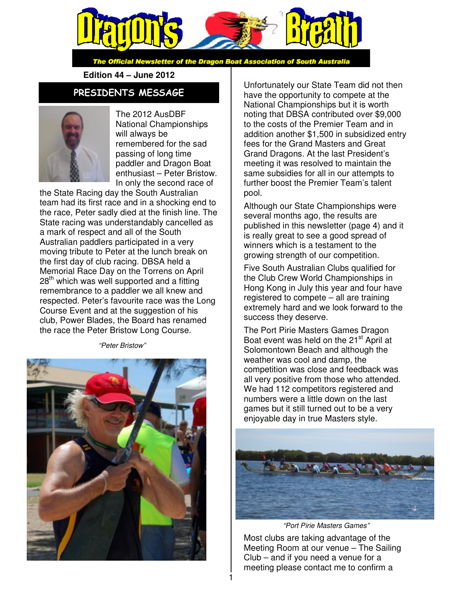

The Official Newsletter of the Dragon Boat Association of South Australia

**Edition 44 – June 2012** 

### PRESIDENTS MESSAGE



The 2012 AusDBF National Championships will always be remembered for the sad passing of long time paddler and Dragon Boat enthusiast – Peter Bristow. In only the second race of

the State Racing day the South Australian team had its first race and in a shocking end to the race, Peter sadly died at the finish line. The State racing was understandably cancelled as a mark of respect and all of the South Australian paddlers participated in a very moving tribute to Peter at the lunch break on the first day of club racing. DBSA held a Memorial Race Day on the Torrens on April  $28<sup>th</sup>$  which was well supported and a fitting remembrance to a paddler we all knew and respected. Peter's favourite race was the Long Course Event and at the suggestion of his club, Power Blades, the Board has renamed the race the Peter Bristow Long Course.

"Peter Bristow"



Unfortunately our State Team did not then have the opportunity to compete at the National Championships but it is worth noting that DBSA contributed over \$9,000 to the costs of the Premier Team and in addition another \$1,500 in subsidized entry fees for the Grand Masters and Great Grand Dragons. At the last President's meeting it was resolved to maintain the same subsidies for all in our attempts to further boost the Premier Team's talent pool.

Although our State Championships were several months ago, the results are published in this newsletter (page 4) and it is really great to see a good spread of winners which is a testament to the growing strength of our competition.

Five South Australian Clubs qualified for the Club Crew World Championships in Hong Kong in July this year and four have registered to compete – all are training extremely hard and we look forward to the success they deserve.

The Port Pirie Masters Games Dragon Boat event was held on the 21<sup>st</sup> April at Solomontown Beach and although the weather was cool and damp, the competition was close and feedback was all very positive from those who attended. We had 112 competitors registered and numbers were a little down on the last games but it still turned out to be a very enjoyable day in true Masters style.



"Port Pirie Masters Games"

Most clubs are taking advantage of the Meeting Room at our venue – The Sailing Club – and if you need a venue for a meeting please contact me to confirm a

1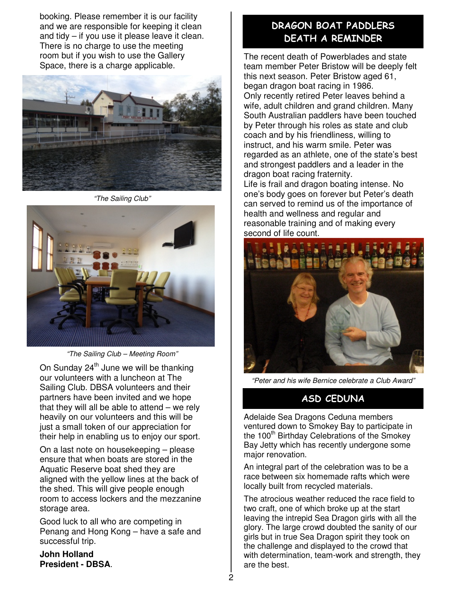booking. Please remember it is our facility and we are responsible for keeping it clean and tidy – if you use it please leave it clean. There is no charge to use the meeting room but if you wish to use the Gallery Space, there is a charge applicable.



"The Sailing Club"



"The Sailing Club – Meeting Room"

On Sunday  $24<sup>th</sup>$  June we will be thanking our volunteers with a luncheon at The Sailing Club. DBSA volunteers and their partners have been invited and we hope that they will all be able to attend  $-$  we rely heavily on our volunteers and this will be just a small token of our appreciation for their help in enabling us to enjoy our sport.

On a last note on housekeeping – please ensure that when boats are stored in the Aquatic Reserve boat shed they are aligned with the yellow lines at the back of the shed. This will give people enough room to access lockers and the mezzanine storage area.

Good luck to all who are competing in Penang and Hong Kong – have a safe and successful trip.

**John Holland President - DBSA**.

## DRAGON BOAT PADDLERS DEATH A REMINDER

The recent death of Powerblades and state team member Peter Bristow will be deeply felt this next season. Peter Bristow aged 61, began dragon boat racing in 1986. Only recently retired Peter leaves behind a wife, adult children and grand children. Many South Australian paddlers have been touched by Peter through his roles as state and club coach and by his friendliness, willing to instruct, and his warm smile. Peter was regarded as an athlete, one of the state's best and strongest paddlers and a leader in the dragon boat racing fraternity.

Life is frail and dragon boating intense. No one's body goes on forever but Peter's death can served to remind us of the importance of health and wellness and regular and reasonable training and of making every second of life count.



"Peter and his wife Bernice celebrate a Club Award"

# ASD CEDUNA

Adelaide Sea Dragons Ceduna members ventured down to Smokey Bay to participate in the 100<sup>th</sup> Birthday Celebrations of the Smokey Bay Jetty which has recently undergone some major renovation.

An integral part of the celebration was to be a race between six homemade rafts which were locally built from recycled materials.

The atrocious weather reduced the race field to two craft, one of which broke up at the start leaving the intrepid Sea Dragon girls with all the glory. The large crowd doubted the sanity of our girls but in true Sea Dragon spirit they took on the challenge and displayed to the crowd that with determination, team-work and strength, they are the best.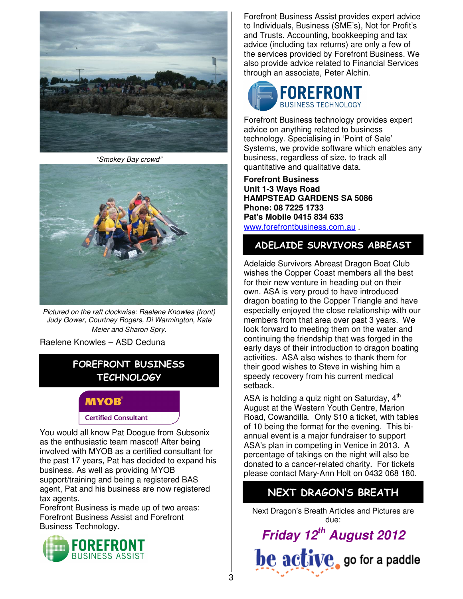

"Smokey Bay crowd"



Pictured on the raft clockwise: Raelene Knowles (front) Judy Gower, Courtney Rogers, Di Warmington, Kate Meier and Sharon Spry.

Raelene Knowles – ASD Ceduna

## FOREFRONT BUSINESS **TECHNOLOGY**

### **MYOB**

#### **Certified Consultant**

You would all know Pat Doogue from Subsonix as the enthusiastic team mascot! After being involved with MYOB as a certified consultant for the past 17 years, Pat has decided to expand his business. As well as providing MYOB support/training and being a registered BAS agent, Pat and his business are now registered tax agents.

Forefront Business is made up of two areas: Forefront Business Assist and Forefront Business Technology.



Forefront Business Assist provides expert advice to Individuals, Business (SME's), Not for Profit's and Trusts. Accounting, bookkeeping and tax advice (including tax returns) are only a few of the services provided by Forefront Business. We also provide advice related to Financial Services through an associate, Peter Alchin.



Forefront Business technology provides expert advice on anything related to business technology. Specialising in 'Point of Sale' Systems, we provide software which enables any business, regardless of size, to track all quantitative and qualitative data.

**Forefront Business Unit 1-3 Ways Road HAMPSTEAD GARDENS SA 5086 Phone: 08 7225 1733 Pat's Mobile 0415 834 633**  www.forefrontbusiness.com.au .

### ADELAIDE SURVIVORS ABREAST

Adelaide Survivors Abreast Dragon Boat Club wishes the Copper Coast members all the best for their new venture in heading out on their own. ASA is very proud to have introduced dragon boating to the Copper Triangle and have especially enjoyed the close relationship with our members from that area over past 3 years. We look forward to meeting them on the water and continuing the friendship that was forged in the early days of their introduction to dragon boating activities. ASA also wishes to thank them for their good wishes to Steve in wishing him a speedy recovery from his current medical setback.

ASA is holding a quiz night on Saturday,  $4<sup>th</sup>$ August at the Western Youth Centre, Marion Road, Cowandilla. Only \$10 a ticket, with tables of 10 being the format for the evening. This biannual event is a major fundraiser to support ASA's plan in competing in Venice in 2013. A percentage of takings on the night will also be donated to a cancer-related charity. For tickets please contact Mary-Ann Holt on 0432 068 180.

# NEXT DRAGON'S BREATH

Next Dragon's Breath Articles and Pictures are due:

**Friday 12th August 2012**  $be active$ , go for a paddle